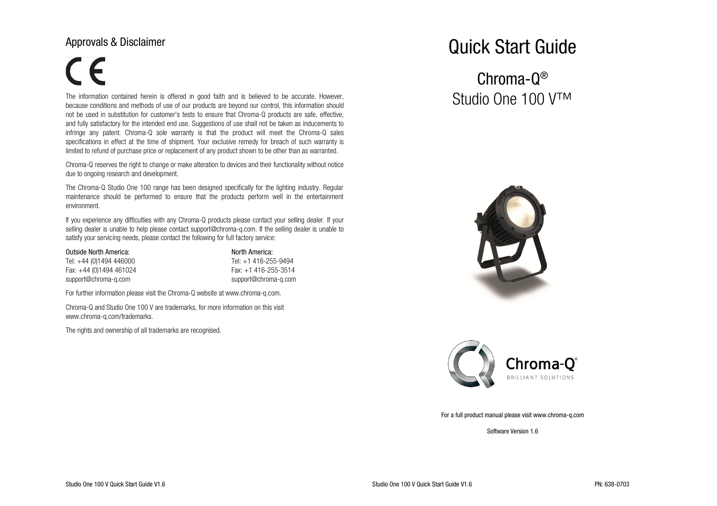# Approvals & Disclaimer

# $\epsilon$

The information contained herein is offered in good faith and is believed to be accurate. However, because conditions and methods of use of our products are beyond our control, this information should not be used in substitution for customer's tests to ensure that Chroma-Q products are safe, effective,and fully satisfactory for the intended end use. Suggestions of use shall not be taken as inducements to infringe any patent. Chroma-Q sole warranty is that the product will meet the Chroma-Q sales specifications in effect at the time of shipment. Your exclusive remedy for breach of such warranty islimited to refund of purchase price or replacement of any product shown to be other than as warranted.

Chroma-Q reserves the right to change or make alteration to devices and their functionality without notice due to ongoing research and development.

The Chroma-Q Studio One 100 range has been designed specifically for the lighting industry. Regular maintenance should be performed to ensure that the products perform well in the entertainment environment.

If you experience any difficulties with any Chroma-Q products please contact your selling dealer. If your selling dealer is unable to help please contact support@chroma-q.com. If the selling dealer is unable to satisfy your servicing needs, please contact the following for full factory service:

#### Outside North America: North America: North America:

Tel: +44 (0)1494 446000 Fax: +44 (0)1494 461024 support@chroma-q.com support@chroma-q.com

# Tel: +1 416-255-9494 Fax: +1 416-255-3514

For further information please visit the Chroma-Q website at www.chroma-q.com.

Chroma-Q and Studio One 100 V are trademarks, for more information on this visit www.chroma-q.com/trademarks.

The rights and ownership of all trademarks are recognised.

# Quick Start Guide

# Chroma-Q®Studio One 100 V™





#### For a full product manual please visit www.chroma-q.com

Software Version 1.6